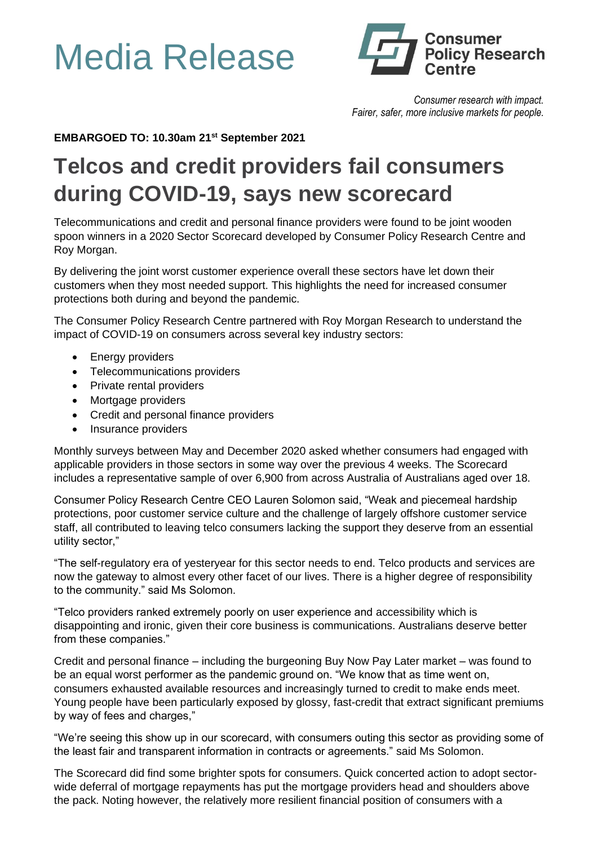## Media Release



*Consumer research with impact. Fairer, safer, more inclusive markets for people.*

**EMBARGOED TO: 10.30am 21st September 2021**

## **Telcos and credit providers fail consumers during COVID-19, says new scorecard**

Telecommunications and credit and personal finance providers were found to be joint wooden spoon winners in a 2020 Sector Scorecard developed by Consumer Policy Research Centre and Roy Morgan.

By delivering the joint worst customer experience overall these sectors have let down their customers when they most needed support. This highlights the need for increased consumer protections both during and beyond the pandemic.

The Consumer Policy Research Centre partnered with Roy Morgan Research to understand the impact of COVID-19 on consumers across several key industry sectors:

- Energy providers
- Telecommunications providers
- Private rental providers
- Mortgage providers
- Credit and personal finance providers
- Insurance providers

Monthly surveys between May and December 2020 asked whether consumers had engaged with applicable providers in those sectors in some way over the previous 4 weeks. The Scorecard includes a representative sample of over 6,900 from across Australia of Australians aged over 18.

Consumer Policy Research Centre CEO Lauren Solomon said, "Weak and piecemeal hardship protections, poor customer service culture and the challenge of largely offshore customer service staff, all contributed to leaving telco consumers lacking the support they deserve from an essential utility sector,"

"The self-regulatory era of yesteryear for this sector needs to end. Telco products and services are now the gateway to almost every other facet of our lives. There is a higher degree of responsibility to the community." said Ms Solomon.

"Telco providers ranked extremely poorly on user experience and accessibility which is disappointing and ironic, given their core business is communications. Australians deserve better from these companies."

Credit and personal finance – including the burgeoning Buy Now Pay Later market – was found to be an equal worst performer as the pandemic ground on. "We know that as time went on, consumers exhausted available resources and increasingly turned to credit to make ends meet. Young people have been particularly exposed by glossy, fast-credit that extract significant premiums by way of fees and charges,"

"We're seeing this show up in our scorecard, with consumers outing this sector as providing some of the least fair and transparent information in contracts or agreements." said Ms Solomon.

The Scorecard did find some brighter spots for consumers. Quick concerted action to adopt sectorwide deferral of mortgage repayments has put the mortgage providers head and shoulders above the pack. Noting however, the relatively more resilient financial position of consumers with a